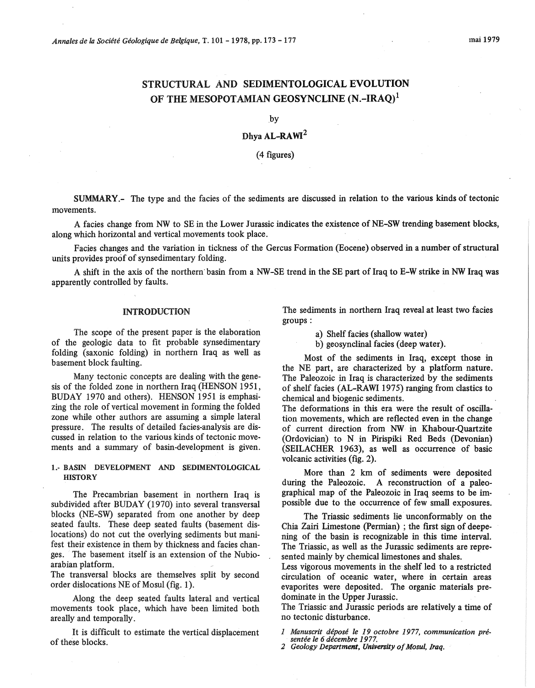# STRUCTURAL AND SEDIMENTOLOGICAL EVOLUTION OF THE MESOPOTAMIAN GEOSYNCLINE (N.-IRAQ)<sup>1</sup>

by

# Dhya AL-RAWI2

## (4 figures)

SUMMARY.- The type and the facies of the sediments are discussed in relation to the various kinds of tectonic movements.

A facies change from NW to SE in the Lower Jurassic indicates the existence of NE-SW trending basement blocks, along which horizontal and vertical movements took place.

Facies changes and the variation in tickness of the Gercus Formation (Eocene) observed in a number of structural units provides proof of synsedimentary folding.

A shift in the axis of the northern· basin from a NW -SE trend in the SE part of Iraq to E-W strike in NW Iraq was apparently controlled by faults.

#### INTRODUCTION

The scope of the present paper is the elaboration of the geologie data to fit probable synsedimentary folding (saxonic folding) in northern Iraq as well as basement block faulting.

Many tectonic concepts are dealing with the genesis of the folded zone in northern Iraq (HENSON 1951, BUDAY 1970 and others). HENSON 1951 is emphasizing the role of vertical movement in forming the folded zone while other authors are assuming a simple lateral pressure. The results of detailed facies-analysis are discussed in relation to the various kinds of tectonic movements and a summary of basin-development is given.

#### 1.- BASIN DEVELOPMENT AND SEDIMENTOLOGICAL **HISTORY**

The Precambrian basement in northern Iraq is subdivided after BUDAY (1970) into several transversal blocks (NE-SW) separated from one another by deep seated faults. These deep seated faults (basement dislocations) do not eut the overlying sediments but manifest their existence in them by thickness and facies changes. The basement itself is an extension of the Nubioarabian platform.

The transversal blocks are themselves split by second order dislocations NE of Mosul (fig. 1).

Along the deep seated faults lateral and vertical movements took place, which have been limited both are ally and temporally.

It is difficult to estimate the vertical displacement of these blocks.

The sediments in northern Iraq reveal at least two facies groups:

a) Shelf facies (shallow water)

b) geosynclinal facies (deep water).

Most of the sediments in Iraq, except those in the NE part, are characterized by a platform nature. The Paleozoic in Iraq is characterized by the sediments of shelf facies (AL-RAWI 1975) ranging from clastics to chemical and biogenic sediments.

The deformations in this era were the result of oscillation movements, which are reflected even in the change of current direction from NW in Khabour-Quartzite (Ordovician) to N in Pirispiki Red Beds (Devonian) (SEILACHER 1963), as well as occurrence of basic volcanic activities (fig. 2).

More than 2 km of sediments were deposited during the Paleozoic. A reconstruction of a paleographical map of the Paleozoic in Iraq seems to be impossible due to the occurrence of few small exposures.

The Triassic sediments lie unconformably on the Chia Zairi Limestone (Permian) ; the first sign of deepening of the basin is recognizable in this time interval. The Triassic, as weil as the Jurassic sediments are represented mainly by chemical limestones and shales.

Less vigorous movements in the shelf led to a restricted circulation of oceanic water, where in certain areas evaporites were deposited. The organic materials predominate in the Upper Jurassic.

The Triassic and Jurassic periods are relatively a time of no tectonic disturbance.

*1 Manuscrit déposé le 19 octobre 1977, communication présentée le 6 décembre 1977.* 

*2 Geology Department, Univenity of Mosul, Iraq.*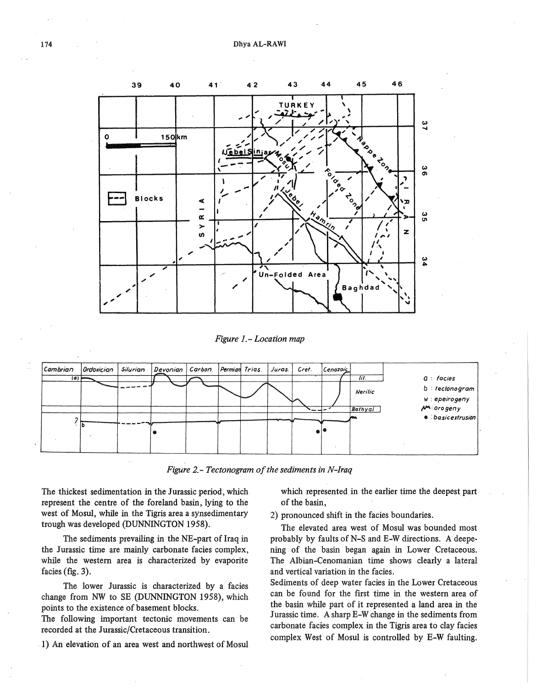

*Figure 1.- Location map* 



*Figure 2.- Tectonogram of the sediments in N-Iraq* 

The thickest sedimentation in the Jurassic period, which. represent the centre of the foreland basin, lying to the west of Mosul, while in the Tigris area a synsedimentary trough was developed (DUNNINGTON 1958).

The sediments prevailing in the NE-part of Iraq in the Jurassic time are mainly carbonate facies complex, while the western area is characterized by evaporite facies (fig. 3).

The lower Jurassic is characterized by a facies change from NW to SE (DUNNINGTON 1958), which points to the existence of basement blocks.

The following important tectonic movements can be recorded at the Jurassic/Cretaceous transition.

. 1) An elevation of an area west and northwest of Mosul

which represented in the earlier time the deepest part of the basin,

2) pronounced shift in the facies boundaries.

The elevated area west of Mosul was bounded most probably by faults of N-S and E-W directions. A deepening of the basin began again in Lower Cretaceous. The Albian-Cenomanian time shows clearly a lateral and vertical variation in the facies.

Sediments of deep water facies in the Lower Cretaceous can be found for the first time in the western area of the basin while part of it represented a land area in the Jurassic time. A sharp E-W change in the sediments from carbonate facies complex in the Tigris area to clay facies complex West of Mosul is controlled by E-W faulting.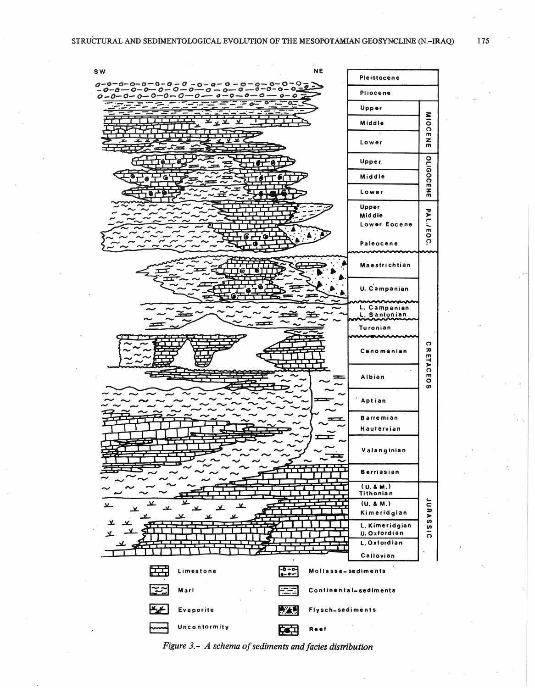

Figure 3.- A schema of sediments and facies distribution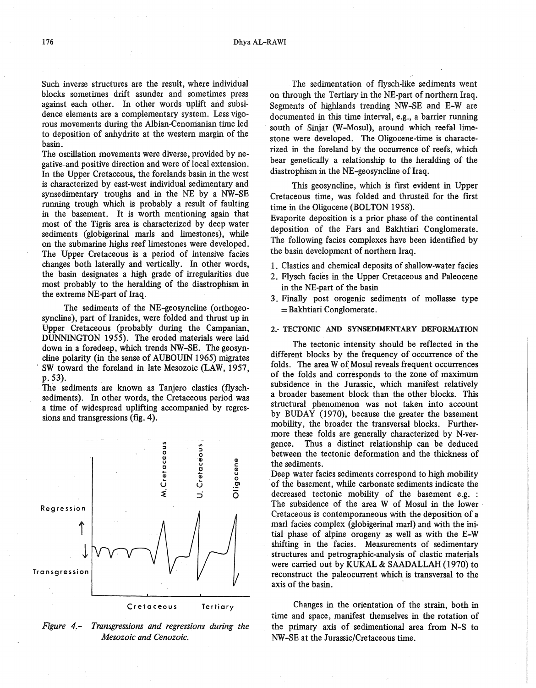Such inverse structures are the result, where individual blocks sometimes drift asunder and sometimes press against each other. In other words uplift and subsidence elements are a complementary system. Less vigorous movements during the Albian-Cenonianian time led to deposition of anhydrite at the western margin of the basin.

The oscillation movements were diverse, provided by negativerand positive direction and were of local extension. In the Upper Cretaceous, the forelands basin in the west is characterized by east-west individual sedimentary and synsedimentary troughs and in the NE by a NW-SE running trough which is probably a result of faulting in the basement. It is worth mentioning again that most of the Tigris area is characterized by deep water sediments (globigerinal maris and limestones), while on the submarine highs reef limestones were developed. The Upper Cretaceous is a period of intensive facies changes both laterally and vertically. In other words, the basin designates a high grade of irregularities due most probably to the heralding of the diastrophism in the extreme NE-part of Iraq.

The sediments of the NE-geosyncline (orthogeosyncline), part of Iranides, were folded and thrust up in Upper Cretaceous (probably during the Campanian, DUNNINGTON 1955). The eroded materials were laid down in a foredeep, which trends NW-SE. The geosyncline polarity (in the sense of AUBOUIN 1965) migrates SW toward the foreland in late Mesozoic (LAW, 1957, p. 53).

The sediments are known as Tanjero clastics (flyschsediments). In other words, the Cretaceous period was a time of widespread uplifting accompanied by regressions and transgressions (fig. 4).



*Figure 4,- Transgressions and regressions during the Mesozoic and Cenozoic.* 

The sedimentation of flysch-like sediments went on through the Tertiary in the NE-part of northem Iraq. Segments of highlands trending NW-SE and E-W are documented in this time interval, e.g., a barrier running south of Sinjar (W-Mosul), around which reefal limestone were developed. The Oligocene-time is characterized in the foreland by the occurrence of reefs, which bear genetically a relationship to the heralding of the diastrophism in the NE-geosyncline of Iraq.

This geosyncline, which is first evident in Upper Cretaceous time, was folded and thrusted for the first time in the Oligocene (BOLTON 1958).

Evaporite deposition is a prior phase of the continental deposition of the Fars and Bakhtiari Conglomerate. The following facies complexes have been identifled by the basin development of northem Iraq.

- 1. Clastics and chemical deposits of shallow-water facies
- 2. Flysch facies in the Upper Cretaceous and Paleocene in the NE-part of the basin
- 3. Finally post orogenie sediments of mollasse type = Bakhtiari Conglomerate.

#### 2.- TECTONIC AND SYNSEDIMENTARY DEFORMATION

The tectonic intensity should be reflected in the different blocks by the frequency of occurrence of the folds. The area W of Mosul reveals frequent occurrences of the folds and corresponds to the zone of maximum subsidence in the Jurassic, which manifest relatively a broader basement block than the other blocks. This structural phenomenon was not taken into account by BUDAY (1970), because the greater the basement mobility, the broader the transversal blocks. Furthermore these folds are generally characterized by N-vergence. Thus a distinct relationship can be deduced between the tectonic deformation and the thickness of the sediments.

Deep water facies sediments correspond to high mobility of the basement, while carbonate sediments indicate the decreased tectonic mobility of the basement e.g. : The subsidence of the area W of Mosul in the lower Cretaceous is contemporaneous with the deposition of a mari facies complex (globigerinal mari) and with the initial phase of alpine orogeny as well as with the E-W shifting in the facies. Measurements of sedimentary structures and petrographic-analysis of clastic materials were carried out by KUKAL & SAADALLAH (1970) to reconstruct the paleocurrent which is transversal to the axis of the basin.

Changes in the orientation of the strain, both in time and space, manifest themselves in the rotation of the primary axis of sedimentional area from N-S to NW-SE at the Jurassic/Cretaceous time.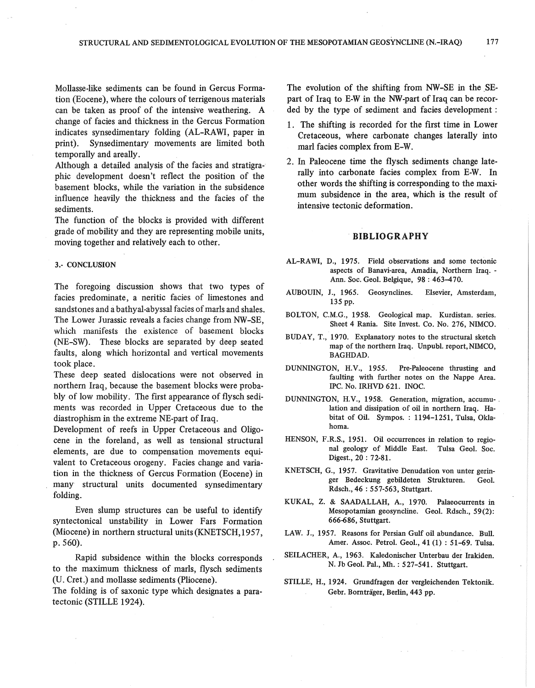Mollasse-like sediments can be found in Gercus Formation (Eocene), where the colours of terrigenous materials can be taken as proof of the intensive weathering. A change of facies and thickness in the Gercus Formation indicates synsedimentary folding (AL-RAWI, paper in print). Synsedimentary movements are limited both temporally and areally.

Although a detailed analysis of the facies and stratigraphie development doesn't reflect the position of the basement blocks, while the variation in the subsidence influence heavily the thickness and the facies of the sediments.

The function of the blocks is provided with different grade of mobility and they are representing mobile units, moving together and relatively each to other.

#### 3.- CONCLUSION

The foregoing discussion shows that two types of facies predominate, a neritic facies of limestones and sandstones and a bathyal-abyssal facies of maris and shales.. The Lower Jurassic reveals a facies change from NW-SE, which manifests the existence of basement blocks (NE-SW). These blocks are separated by deep seated faults, along which horizontal and vertical movements took place.

These deep seated dislocations were not observed in northern Iraq, because the basement blocks were probably of low mobility. The first appearance of flysch sediments was recorded in Upper Cretaceous due to the diastrophism in the extreme NE-part of Iraq.

Development of reefs in Upper Cretaceous and Oligocene in the foreland, as weil as tensional structural elements, are due to compensation movements equivalent to Cretaceous orogeny. Facies change and variation in the thickness of Gercus Formation (Eocene) in many structural units documented synsedimentary folding.

Even slump structures can be useful to identify syntectonical unstability in Lower Fars Formation (Miocene) in northern structural units (KNETSCH, 1957, p. 560).

Rapid subsidence within the blocks corresponds to the maximum thickness of marls, flysch sediments (U. Cret.) and mollasse sediments (Pliocene).

The folding is of saxonic type which designates a paratectonic (STILLE 1924).

The evolution of the shifting from NW-SE in the SEpart of Iraq to E-W in the NW-part of Iraq can be recorded by the type of sediment and facies development :

- 1. The shifting is recorded for the first time in Lower Cretaceous, where carbonate changes laterally into marl facies complex from E-W.
- 2. In Paleocene time the flysch sediments change laterally into carbonate facies complex from E-W. In other words the shifting is corresponding to the maximum subsidence in the area, which is the result of intensive tectonic deformation.

### . **BIBLIOGRAPHY**

- AL-RAWI, D., 1975. Field observations and some tectonic aspects of Banavi-area, Amadia, Northern Iraq. - Ann. Soc. Geol. Belgique, 98: 463-470.
- AUBOUIN, J., 1965. Geosynclines. Elsevier, Amsterdam, 135 pp.
- BOLTON, C.M.G., 1958. Geological map. Kurdistan. series. Sheet 4 Rania. Site Invest. Co. No. 276, NIMCO.
- BUDAY, T., 1970. Explanatory notes to the structural sketch map of the northern Iraq. Unpubl. report,NIMCO, BAGHDAD.
- DUNNINGTON, H.V., 1955. Pre-Paleocene thrusting and faulting with further notes on the Nappe Area. IPC. No. IRHVD 621. INOC.
- DUNNINGTON, H.V., 1958. Generation, migration, accumu-. lation and dissipation of oil in northern Iraq. Habitat of Oil. Sympos. : 1194-1251, Tulsa, Oklahoma.
- HENSON, F.R.S., 1951. Oil occurrences in relation to regional geology of Middle East. Tulsa Geol. Soc. Digest., 20 : 72-81.
- KNETSCH, G., 1957. Gravitative Denudation von unter geringer Bedeckung gebildeten Strukturen. Geol. Rdsch., 46 : 557-563, Stuttgart.
- KUKAL, Z. & SAADALLAH, A., 1970. Palaeocurrents in Mesopotarnian geosyncline. Geol. Rdsch., 59(2): 666-686, Stuttgart.
- LAW. J., 1957. Reasons for Persian Gulf oil abundance. Bull. Amer. Assoc. Petrol. Geol., 41 (1) : 51-69. Tulsa.
- SEILACHER, A., 1963. Kaledonischer Unterbau der lrakiden. N. Jb Geol. Pal., Mh. : 527-541. Stuttgart.
- STILLE, H., 1924. Grundfragen der vergleichenden Tektonik. Gebr. Bornträger, Berlin, 443 pp.